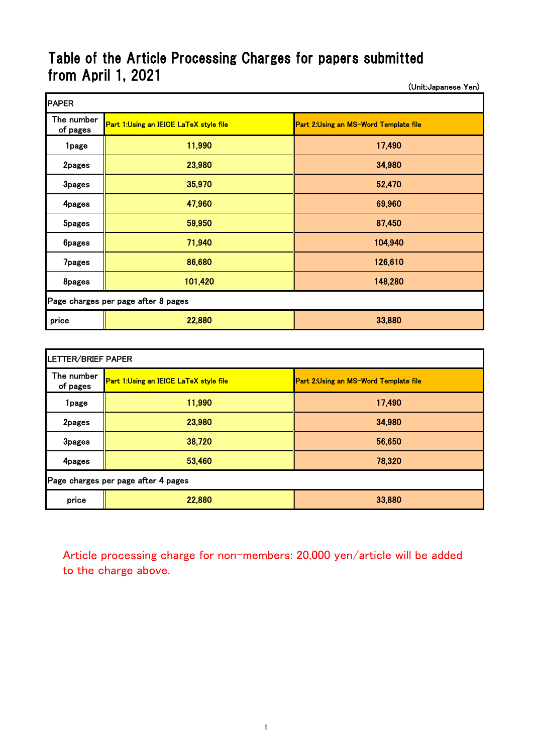## Table of the Article Processing Charges for papers submitted from April 1, 2021

(Unit:Japanese Yen)

| <b>PAPER</b>                        |                                               |                                       |  |  |
|-------------------------------------|-----------------------------------------------|---------------------------------------|--|--|
| The number<br>of pages              | <b>Part 1:Using an IEICE LaTeX style file</b> | Part 2:Using an MS-Word Template file |  |  |
| 1page                               | 11,990                                        | 17,490                                |  |  |
| 2pages                              | 23,980                                        | 34,980                                |  |  |
| <b>3pages</b>                       | 35,970                                        | 52,470                                |  |  |
| 4pages                              | 47,960                                        | 69,960                                |  |  |
| <b>5pages</b>                       | 59,950                                        | 87,450                                |  |  |
| <b>6pages</b>                       | 71,940                                        | 104,940                               |  |  |
| <b>7pages</b>                       | 86,680                                        | 126,610                               |  |  |
| 8pages                              | 101,420                                       | 148,280                               |  |  |
| Page charges per page after 8 pages |                                               |                                       |  |  |
| price                               | 22,880                                        | 33,880                                |  |  |

| LETTER/BRIEF PAPER                  |                                        |                                       |  |  |
|-------------------------------------|----------------------------------------|---------------------------------------|--|--|
| The number<br>of pages              | Part 1:Using an IEICE LaTeX style file | Part 2:Using an MS-Word Template file |  |  |
| 1page                               | 11,990                                 | 17,490                                |  |  |
| 2pages                              | 23,980                                 | 34,980                                |  |  |
| <b>3pages</b>                       | 38,720                                 | 56,650                                |  |  |
| 4pages                              | 53,460                                 | 78,320                                |  |  |
| Page charges per page after 4 pages |                                        |                                       |  |  |
| price                               | 22,880                                 | 33,880                                |  |  |

Article processing charge for non-members: 20,000 yen/article will be added to the charge above.